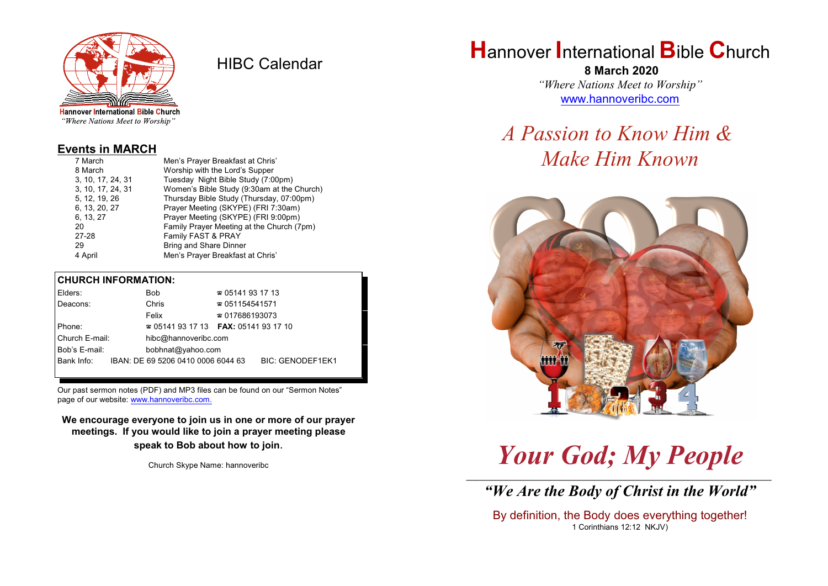

HIBC Calendar

"Where Nations Meet to Worship"

#### **Events in MARCH**

| 7 March           | Men's Prayer Breakfast at Chris'           |  |  |
|-------------------|--------------------------------------------|--|--|
| 8 March           | Worship with the Lord's Supper             |  |  |
| 3, 10, 17, 24, 31 | Tuesday Night Bible Study (7:00pm)         |  |  |
| 3, 10, 17, 24, 31 | Women's Bible Study (9:30am at the Church) |  |  |
| 5, 12, 19, 26     | Thursday Bible Study (Thursday, 07:00pm)   |  |  |
| 6, 13, 20, 27     | Prayer Meeting (SKYPE) (FRI 7:30am)        |  |  |
| 6, 13, 27         | Prayer Meeting (SKYPE) (FRI 9:00pm)        |  |  |
| 20                | Family Prayer Meeting at the Church (7pm)  |  |  |
| $27 - 28$         | Family FAST & PRAY                         |  |  |
| 29                | <b>Bring and Share Dinner</b>              |  |  |
| 4 April           | Men's Prayer Breakfast at Chris'           |  |  |

### **CHURCH INFORMATION:**

|                | Elders:                            |                                          | Bob                                | $\approx 05141931713$  |                         |  |
|----------------|------------------------------------|------------------------------------------|------------------------------------|------------------------|-------------------------|--|
|                | Deacons:                           |                                          | Chris                              |                        | $\approx 051154541571$  |  |
|                |                                    |                                          | Felix                              | $\approx 017686193073$ |                         |  |
| Phone:         |                                    | $\approx 05141931713$ FAX: 0514193 17 10 |                                    |                        |                         |  |
| Church E-mail: |                                    | hibc@hannoveribc.com                     |                                    |                        |                         |  |
|                | Bob's E-mail:<br>bobhnat@yahoo.com |                                          |                                    |                        |                         |  |
|                | Bank Info:                         |                                          | IBAN: DE 69 5206 0410 0006 6044 63 |                        | <b>BIC: GENODEF1EK1</b> |  |
|                |                                    |                                          |                                    |                        |                         |  |

Our past sermon notes (PDF) and MP3 files can be found on our "Sermon Notes" page of our website: [www.hannoveribc.com.](http://www.hannoveribc.com.)

**We encourage everyone to join us in one or more of our prayer meetings. If you would like to join a prayer meeting please speak to Bob about how to join**.

Church Skype Name: hannoveribc

# **H**annover **I**nternational **B**ible **C**hurch

 **8 March 2020** *"Where Nations Meet to Worship"* [www.hannoveribc.com](http://www.hannoveribc.com)

# *A Passion to Know Him & Make Him Known*



*Your God; My People*

\_\_\_\_\_\_\_\_\_\_\_\_\_\_\_\_\_\_\_\_\_\_\_\_\_\_\_\_\_\_\_\_\_\_\_\_\_\_\_\_\_\_\_\_\_\_\_\_\_\_\_\_\_\_\_\_\_\_\_\_\_\_ *"We Are the Body of Christ in the World"*

By definition, the Body does everything together! 1 Corinthians 12:12 NKJV)